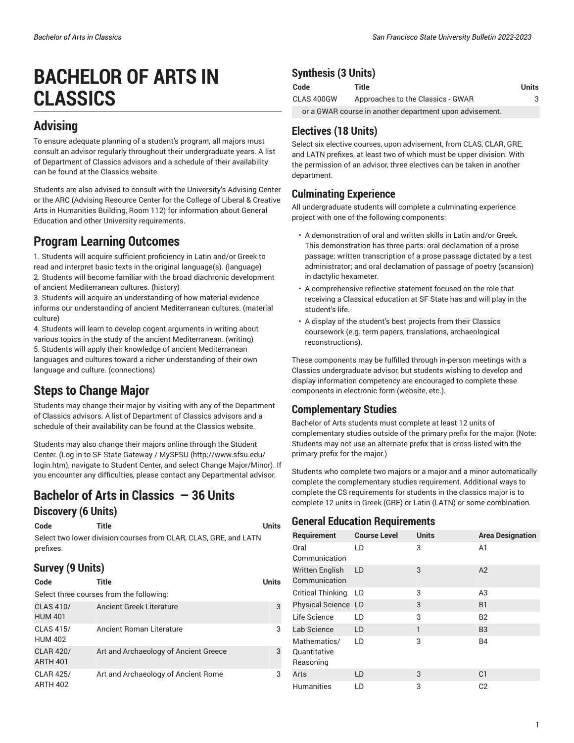# **BACHELOR OF ARTS IN CLASSICS**

## **Advising**

To ensure adequate planning of a student's program, all majors must consult an advisor regularly throughout their undergraduate years. A list of Department of Classics advisors and a schedule of their availability can be found at the Classics website.

Students are also advised to consult with the University's Advising Center or the ARC (Advising Resource Center for the College of Liberal & Creative Arts in Humanities Building, Room 112) for information about General Education and other University requirements.

## **Program Learning Outcomes**

1. Students will acquire sufficient proficiency in Latin and/or Greek to read and interpret basic texts in the original language(s). (language) 2. Students will become familiar with the broad diachronic development of ancient Mediterranean cultures. (history)

3. Students will acquire an understanding of how material evidence informs our understanding of ancient Mediterranean cultures. (material culture)

4. Students will learn to develop cogent arguments in writing about various topics in the study of the ancient Mediterranean. (writing) 5. Students will apply their knowledge of ancient Mediterranean languages and cultures toward a richer understanding of their own language and culture. (connections)

## **Steps to Change Major**

Students may change their major by visiting with any of the Department of Classics advisors. A list of Department of Classics advisors and a schedule of their availability can be found at the Classics website.

Students may also change their majors online through the Student Center. (Log in to SF State [Gateway](http://www.sfsu.edu/login.htm) / MySFSU ([http://www.sfsu.edu/](http://www.sfsu.edu/login.htm) [login.htm](http://www.sfsu.edu/login.htm)), navigate to Student Center, and select Change Major/Minor). If you encounter any difficulties, please contact any Departmental advisor.

## **Bachelor of Arts in Classics — 36 Units**

#### **Discovery (6 Units)**

#### **Code Title Units**

Select two lower division courses from CLAR, CLAS, GRE, and LATN prefixes.

#### **Survey (9 Units)**

| Code                                     | Title                                 | <b>Units</b> |
|------------------------------------------|---------------------------------------|--------------|
| Select three courses from the following: |                                       |              |
| <b>CLAS 410/</b><br><b>HUM 401</b>       | <b>Ancient Greek Literature</b>       | 3            |
| <b>CLAS 415/</b><br><b>HUM 402</b>       | Ancient Roman Literature              | 3            |
| <b>CLAR 420/</b><br><b>ARTH 401</b>      | Art and Archaeology of Ancient Greece | 3            |
| <b>CLAR 425/</b><br><b>ARTH 402</b>      | Art and Archaeology of Ancient Rome   | 3            |

#### **Synthesis (3 Units)**

| Code                                                    | Title                             | Units |
|---------------------------------------------------------|-----------------------------------|-------|
| CLAS 400GW                                              | Approaches to the Classics - GWAR |       |
| or a GWAR course in another department upon advisement. |                                   |       |

#### **Electives (18 Units)**

Select six elective courses, upon advisement, from CLAS, CLAR, GRE, and LATN prefixes, at least two of which must be upper division. With the permission of an advisor, three electives can be taken in another department.

#### **Culminating Experience**

All undergraduate students will complete a culminating experience project with one of the following components:

- A demonstration of oral and written skills in Latin and/or Greek. This demonstration has three parts: oral declamation of a prose passage; written transcription of a prose passage dictated by a test administrator; and oral declamation of passage of poetry (scansion) in dactylic hexameter.
- A comprehensive reflective statement focused on the role that receiving a Classical education at SF State has and will play in the student's life.
- A display of the student's best projects from their Classics coursework (e.g. term papers, translations, archaeological reconstructions).

These components may be fulfilled through in-person meetings with a Classics undergraduate advisor, but students wishing to develop and display information competency are encouraged to complete these components in electronic form (website, etc.).

#### **Complementary Studies**

Bachelor of Arts students must complete at least 12 units of complementary studies outside of the primary prefix for the major. (Note: Students may not use an alternate prefix that is cross-listed with the primary prefix for the major.)

Students who complete two majors or a major and a minor automatically complete the complementary studies requirement. Additional ways to complete the CS requirements for students in the classics major is to complete 12 units in Greek (GRE) or Latin (LATN) or some combination.

#### **General Education Requirements**

| Requirement                               | <b>Course Level</b> | <b>Units</b> | <b>Area Designation</b> |
|-------------------------------------------|---------------------|--------------|-------------------------|
| Oral<br>Communication                     | LD                  | 3            | A1                      |
| Written English<br>Communication          | LD                  | 3            | A2                      |
| <b>Critical Thinking</b>                  | LD                  | 3            | A3                      |
| Physical Science LD                       |                     | 3            | B <sub>1</sub>          |
| Life Science                              | LD                  | 3            | <b>B2</b>               |
| Lab Science                               | LD                  | 1            | B <sub>3</sub>          |
| Mathematics/<br>Quantitative<br>Reasoning | LD                  | 3            | <b>B4</b>               |
| Arts                                      | LD                  | 3            | C <sub>1</sub>          |
| <b>Humanities</b>                         | LD                  | 3            | C <sub>2</sub>          |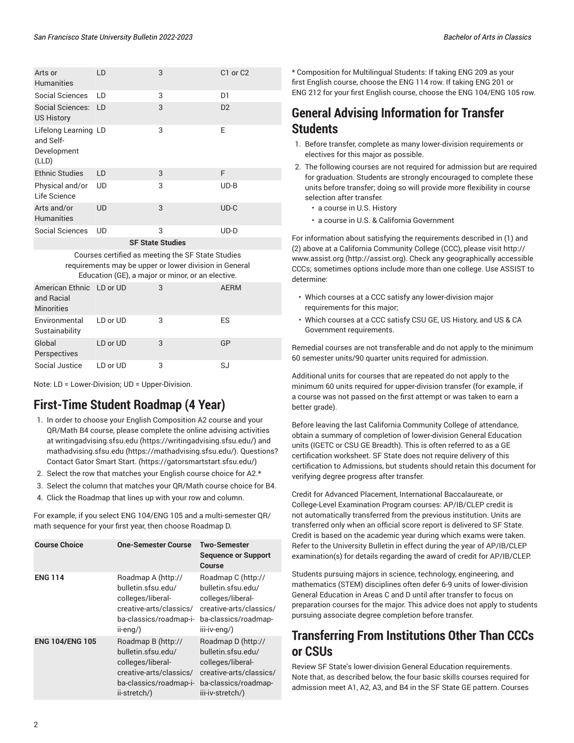| Arts or<br><b>Humanities</b>                              | LD | 3 | C <sub>1</sub> or C <sub>2</sub> |  |
|-----------------------------------------------------------|----|---|----------------------------------|--|
| Social Sciences                                           | ID | 3 | D1                               |  |
| Social Sciences: LD<br><b>US History</b>                  |    | 3 | D <sub>2</sub>                   |  |
| Lifelong Learning LD<br>and Self-<br>Development<br>(LLD) |    | 3 | E                                |  |
| <b>Ethnic Studies</b>                                     | LD | 3 | F                                |  |
| Physical and/or<br>Life Science                           | UD | 3 | $UD-B$                           |  |
| Arts and/or<br><b>Humanities</b>                          | UD | 3 | $UD-C$                           |  |
| Social Sciences                                           | UD | 3 | $UD-D$                           |  |
| OF OLLAL OLUJI.                                           |    |   |                                  |  |

**SF State Studies**

| Courses certified as meeting the SF State Studies<br>requirements may be upper or lower division in General<br>Education (GE), a major or minor, or an elective. |          |   |             |
|------------------------------------------------------------------------------------------------------------------------------------------------------------------|----------|---|-------------|
| American Ethnic LD or UD<br>and Racial<br><b>Minorities</b>                                                                                                      |          | 3 | <b>AERM</b> |
| Environmental<br>Sustainability                                                                                                                                  | LD or UD | 3 | ES          |
| Global<br>Perspectives                                                                                                                                           | LD or UD | 3 | GP          |
| Social Justice                                                                                                                                                   | LD or UD | 3 | SJ          |

Note: LD = Lower-Division; UD = Upper-Division.

## **First-Time Student Roadmap (4 Year)**

- 1. In order to choose your English Composition A2 course and your QR/Math B4 course, please complete the online advising activities at [writingadvising.sfsu.edu](https://writingadvising.sfsu.edu/) ([https://writingadvising.sfsu.edu/\)](https://writingadvising.sfsu.edu/) and [mathadvising.sfsu.edu](https://mathadvising.sfsu.edu/) ([https://mathadvising.sfsu.edu/\)](https://mathadvising.sfsu.edu/). Questions? Contact Gator [Smart](https://gatorsmartstart.sfsu.edu/) Start. ([https://gatorsmartstart.sfsu.edu/\)](https://gatorsmartstart.sfsu.edu/)
- 2. Select the row that matches your English course choice for A2.\*
- 3. Select the column that matches your QR/Math course choice for B4.
- 4. Click the Roadmap that lines up with your row and column.

For example, if you select ENG 104/ENG 105 and a multi-semester QR/ math sequence for your first year, then choose Roadmap D.

| <b>Course Choice</b>   | <b>One-Semester Course</b>                                                                                                         | Two-Semester<br><b>Sequence or Support</b><br>Course                                                                                 |
|------------------------|------------------------------------------------------------------------------------------------------------------------------------|--------------------------------------------------------------------------------------------------------------------------------------|
| <b>ENG 114</b>         | Roadmap A (http://<br>bulletin.sfsu.edu/<br>colleges/liberal-<br>creative-arts/classics/<br>ba-classics/roadmap-i-<br>ii-eng/)     | Roadmap C (http://<br>bulletin.sfsu.edu/<br>colleges/liberal-<br>creative-arts/classics/<br>ba-classics/roadmap-<br>iii-iv-eng/)     |
| <b>ENG 104/ENG 105</b> | Roadmap B (http://<br>bulletin.sfsu.edu/<br>colleges/liberal-<br>creative-arts/classics/<br>ba-classics/roadmap-i-<br>ii-stretch/) | Roadmap D (http://<br>bulletin.sfsu.edu/<br>colleges/liberal-<br>creative-arts/classics/<br>ba-classics/roadmap-<br>iii-iv-stretch/) |

\* Composition for Multilingual Students: If taking ENG 209 as your first English course, choose the ENG 114 row. If taking ENG 201 or ENG 212 for your first English course, choose the ENG 104/ENG 105 row.

## **General Advising Information for Transfer Students**

- 1. Before transfer, complete as many lower-division requirements or electives for this major as possible.
- 2. The following courses are not required for admission but are required for graduation. Students are strongly encouraged to complete these units before transfer; doing so will provide more flexibility in course selection after transfer.
	- a course in U.S. History
	- a course in U.S. & California Government

For information about satisfying the requirements described in (1) and (2) above at a California Community College (CCC), please visit [http://](http://assist.org) [www.assist.org \(http://assist.org](http://assist.org)). Check any geographically accessible CCCs; sometimes options include more than one college. Use ASSIST to determine:

- Which courses at a CCC satisfy any lower-division major requirements for this major;
- Which courses at a CCC satisfy CSU GE, US History, and US & CA Government requirements.

Remedial courses are not transferable and do not apply to the minimum 60 semester units/90 quarter units required for admission.

Additional units for courses that are repeated do not apply to the minimum 60 units required for upper-division transfer (for example, if a course was not passed on the first attempt or was taken to earn a better grade).

Before leaving the last California Community College of attendance, obtain a summary of completion of lower-division General Education units (IGETC or CSU GE Breadth). This is often referred to as a GE certification worksheet. SF State does not require delivery of this certification to Admissions, but students should retain this document for verifying degree progress after transfer.

Credit for Advanced Placement, International Baccalaureate, or College-Level Examination Program courses: AP/IB/CLEP credit is not automatically transferred from the previous institution. Units are transferred only when an official score report is delivered to SF State. Credit is based on the academic year during which exams were taken. Refer to the University Bulletin in effect during the year of AP/IB/CLEP examination(s) for details regarding the award of credit for AP/IB/CLEP.

Students pursuing majors in science, technology, engineering, and mathematics (STEM) disciplines often defer 6-9 units of lower-division General Education in Areas C and D until after transfer to focus on preparation courses for the major. This advice does not apply to students pursuing associate degree completion before transfer.

## **Transferring From Institutions Other Than CCCs or CSUs**

Review SF State's lower-division General Education requirements. Note that, as described below, the four basic skills courses required for admission meet A1, A2, A3, and B4 in the SF State GE pattern. Courses